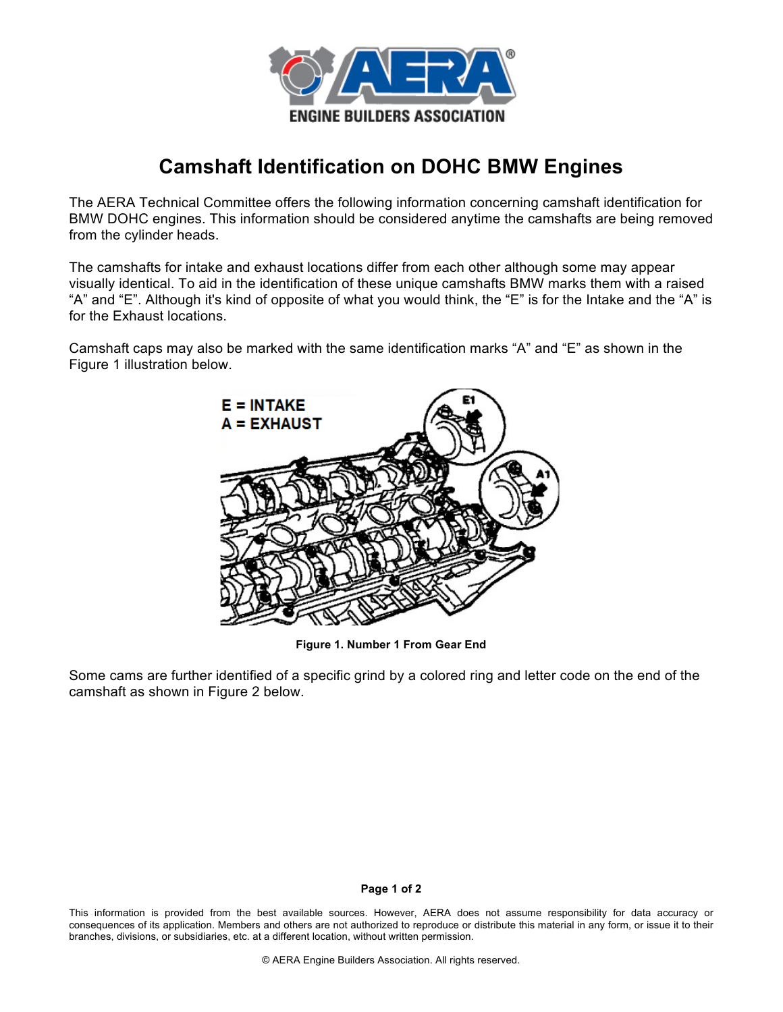

## **Camshaft Identification on DOHC BMW Engines**

The AERA Technical Committee offers the following information concerning camshaft identification for BMW DOHC engines. This information should be considered anytime the camshafts are being removed from the cylinder heads.

The camshafts for intake and exhaust locations differ from each other although some may appear visually identical. To aid in the identification of these unique camshafts BMW marks them with a raised "A" and "E". Although it's kind of opposite of what you would think, the "E" is for the Intake and the "A" is for the Exhaust locations.

Camshaft caps may also be marked with the same identification marks "A" and "E" as shown in the Figure 1 illustration below.



**Figure 1. Number 1 From Gear End**

Some cams are further identified of a specific grind by a colored ring and letter code on the end of the camshaft as shown in Figure 2 below.

## **Page 1 of 2**

This information is provided from the best available sources. However, AERA does not assume responsibility for data accuracy or consequences of its application. Members and others are not authorized to reproduce or distribute this material in any form, or issue it to their branches, divisions, or subsidiaries, etc. at a different location, without written permission.